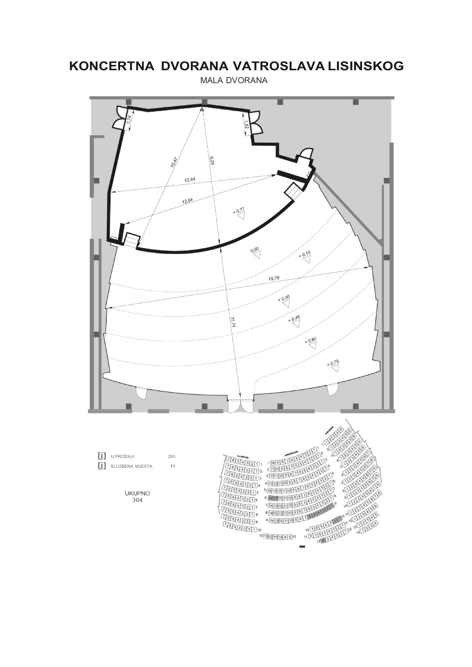# KONCERTNA DVORANA VATROSLAVA LISINSKOG

**MALA DVORANA** 

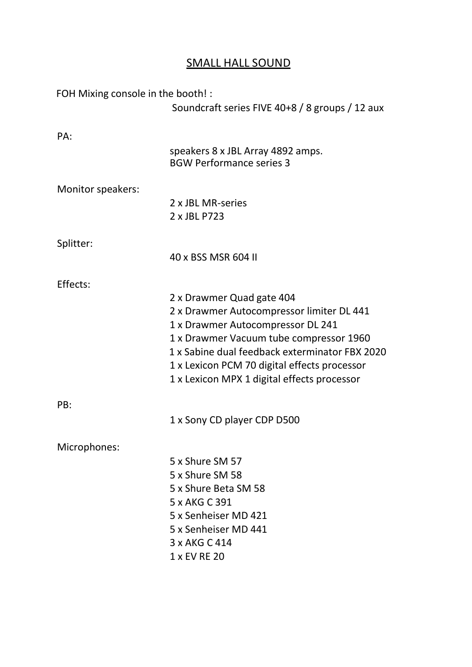# SMALL HALL SOUND

FOH Mixing console in the booth! :

Soundcraft series FIVE 40+8 / 8 groups / 12 aux

| PA:               | speakers 8 x JBL Array 4892 amps.              |
|-------------------|------------------------------------------------|
|                   | <b>BGW Performance series 3</b>                |
| Monitor speakers: |                                                |
|                   | 2 x JBL MR-series<br>2 x JBL P723              |
| Splitter:         |                                                |
|                   | 40 x BSS MSR 604 II                            |
| Effects:          |                                                |
|                   | 2 x Drawmer Quad gate 404                      |
|                   | 2 x Drawmer Autocompressor limiter DL 441      |
|                   | 1 x Drawmer Autocompressor DL 241              |
|                   | 1 x Drawmer Vacuum tube compressor 1960        |
|                   | 1 x Sabine dual feedback exterminator FBX 2020 |
|                   | 1 x Lexicon PCM 70 digital effects processor   |
|                   | 1 x Lexicon MPX 1 digital effects processor    |
| PB:               |                                                |
|                   | 1 x Sony CD player CDP D500                    |
| Microphones:      |                                                |
|                   | 5 x Shure SM 57                                |
|                   | 5 x Shure SM 58                                |
|                   | 5 x Shure Beta SM 58                           |
|                   | 5 x AKG C 391                                  |
|                   | 5 x Senheiser MD 421                           |
|                   | 5 x Senheiser MD 441                           |
|                   | 3 x AKG C 414                                  |
|                   | 1 x EV RE 20                                   |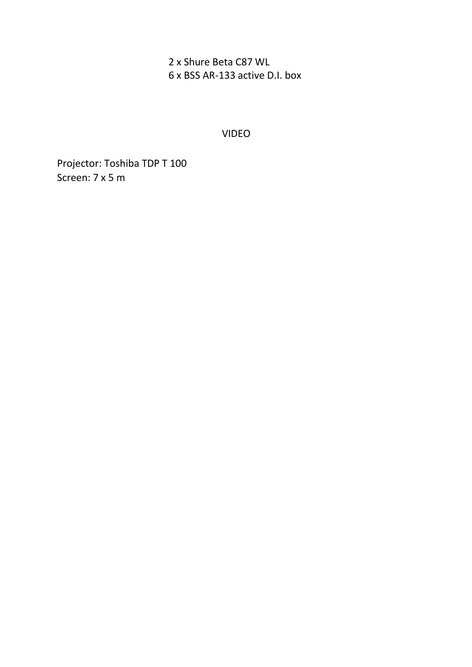2 x Shure Beta C87 WL 6 x BSS AR-133 active D.I. box

VIDEO

Projector: Toshiba TDP T 100 Screen: 7 x 5 m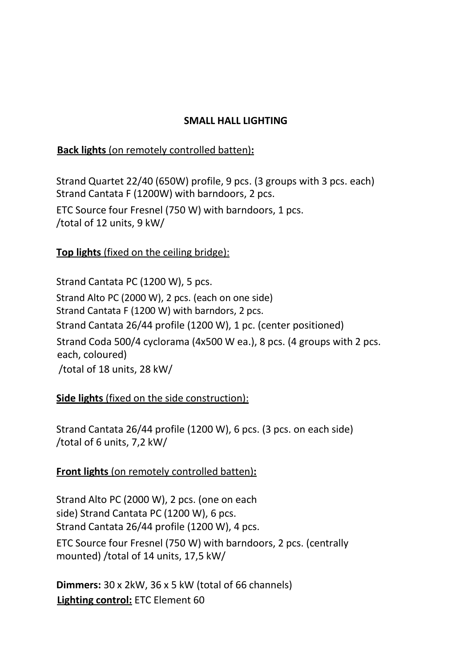#### SMALL HALL LIGHTING

#### Back lights (on remotely controlled batten):

Strand Quartet 22/40 (650W) profile, 9 pcs. (3 groups with 3 pcs. each) Strand Cantata F (1200W) with barndoors, 2 pcs.

ETC Source four Fresnel (750 W) with barndoors, 1 pcs. /total of 12 units, 9 kW/

### Top lights (fixed on the ceiling bridge):

Strand Cantata PC (1200 W), 5 pcs. Strand Alto PC (2000 W), 2 pcs. (each on one side) Strand Cantata F (1200 W) with barndors, 2 pcs. Strand Cantata 26/44 profile (1200 W), 1 pc. (center positioned) Strand Coda 500/4 cyclorama (4x500 W ea.), 8 pcs. (4 groups with 2 pcs. each, coloured) /total of 18 units, 28 kW/

### Side lights (fixed on the side construction):

Strand Cantata 26/44 profile (1200 W), 6 pcs. (3 pcs. on each side) /total of 6 units, 7,2 kW/

### Front lights (on remotely controlled batten):

Strand Alto PC (2000 W), 2 pcs. (one on each side) Strand Cantata PC (1200 W), 6 pcs. Strand Cantata 26/44 profile (1200 W), 4 pcs.

ETC Source four Fresnel (750 W) with barndoors, 2 pcs. (centrally mounted) /total of 14 units, 17,5 kW/

Dimmers: 30 x 2kW, 36 x 5 kW (total of 66 channels) Lighting control: ETC Element 60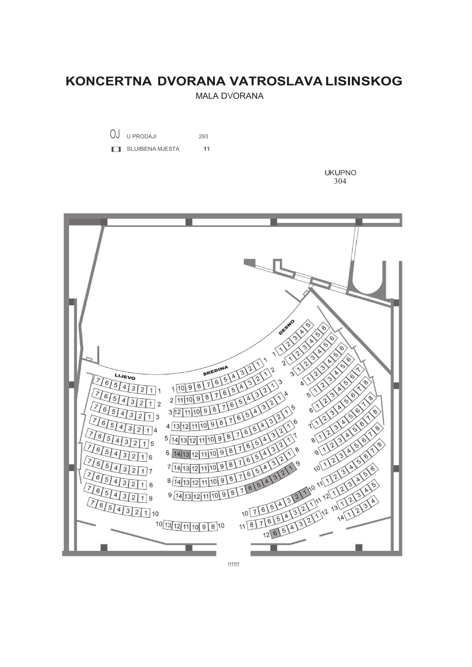## KONCERTNA DVORANA VATROSLAVA LISINSKOG

**MALA DVORANA** 



**FT** SLUtBENA MJESTA  $11$ 

> **UKUPNO** 304